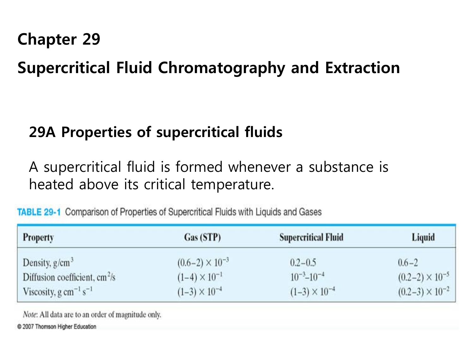# **Chapter 29**

# **Supercritical Fluid Chromatography and Extraction**

# **29A Properties of supercritical fluids**

A supercritical fluid is formed whenever a substance is heated above its critical temperature.

| <b>Property</b>                                                         | Gas (STP)                | <b>Supercritical Fluid</b> | Liquid                   |
|-------------------------------------------------------------------------|--------------------------|----------------------------|--------------------------|
| Density, $g/cm^3$                                                       | $(0.6-2) \times 10^{-3}$ | $0.2 - 0.5$                | $0.6 - 2$                |
| Diffusion coefficient, $cm^2/s$                                         | $(1-4) \times 10^{-1}$   | $10^{-3} - 10^{-4}$        | $(0.2-2) \times 10^{-5}$ |
| Viscosity, g cm <sup><math>-1</math></sup> s <sup><math>-1</math></sup> | $(1-3) \times 10^{-4}$   | $(1-3) \times 10^{-4}$     | $(0.2-3) \times 10^{-2}$ |

**TABLE 29-1** Comparison of Properties of Supercritical Fluids with Liquids and Gases

Note: All data are to an order of magnitude only. © 2007 Thomson Higher Education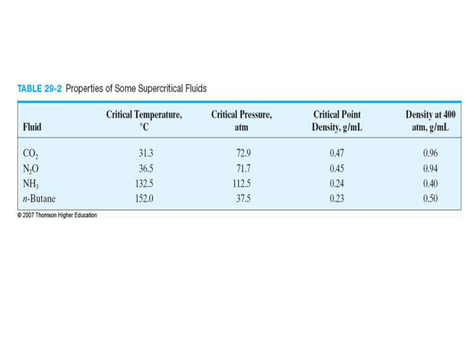| <b>Fluid</b>    | <b>Critical Temperature,</b><br>°C | <b>Critical Pressure,</b><br>atm | <b>Critical Point</b><br>Density, g/mL | <b>Density at 400</b><br>atm, g/mL |
|-----------------|------------------------------------|----------------------------------|----------------------------------------|------------------------------------|
| CO <sub>2</sub> | 31.3                               | 72.9                             | 0.47                                   | 0.96                               |
| $N_2O$          | 36.5                               | 71.7                             | 0.45                                   | 0.94                               |
| NH <sub>3</sub> | 132.5                              | 112.5                            | 0.24                                   | 0.40                               |
| $n$ -Butane     | 152.0                              | 37.5                             | 0.23                                   | 0.50                               |

### **TABLE 29-2 Properties of Some Supercritical Fluids**

© 2007 Thomson Higher Education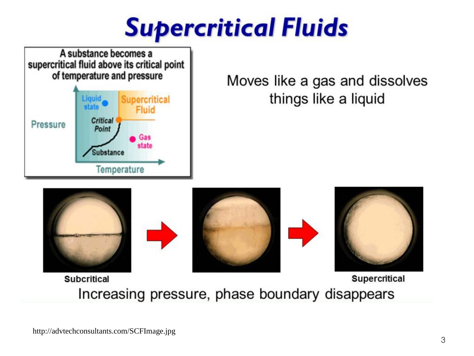**Supercritical Fluids** 



# Moves like a gas and dissolves things like a liquid











**Subcritical** 

**Supercritical** 

Increasing pressure, phase boundary disappears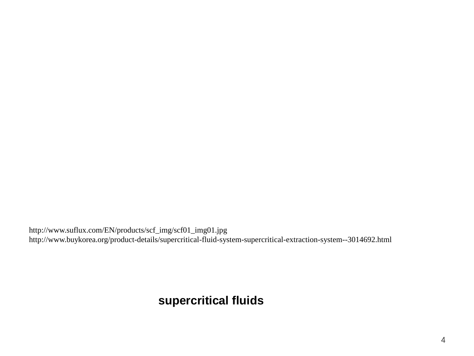http://www.suflux.com/EN/products/scf\_img/scf01\_img01.jpg http://www.buykorea.org/product-details/supercritical-fluid-system-supercritical-extraction-system--3014692.html

### **supercritical fluids**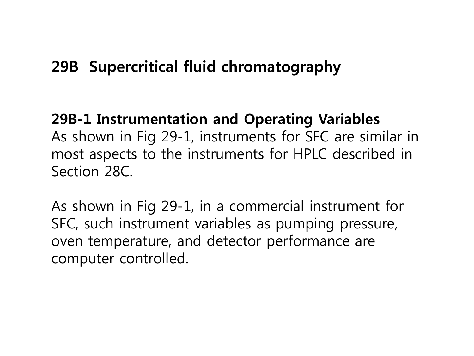# **29B Supercritical fluid chromatography**

## **29B-1 Instrumentation and Operating Variables**

As shown in Fig 29-1, instruments for SFC are similar in most aspects to the instruments for HPLC described in Section 28C.

As shown in Fig 29-1, in a commercial instrument for SFC, such instrument variables as pumping pressure, oven temperature, and detector performance are computer controlled.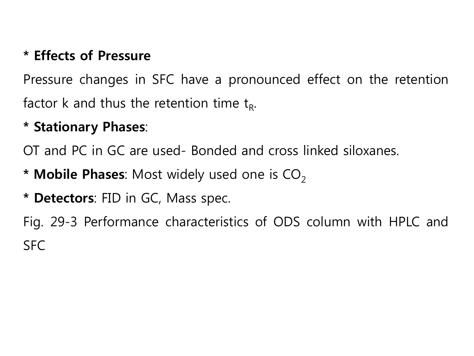## **\* Effects of Pressure**

Pressure changes in SFC have a pronounced effect on the retention factor k and thus the retention time  $t_R$ .

### **\* Stationary Phases**:

OT and PC in GC are used- Bonded and cross linked siloxanes.

- **\* Mobile Phases:** Most widely used one is CO<sub>2</sub>
- **\* Detectors**: FID in GC, Mass spec.

Fig. 29-3 Performance characteristics of ODS column with HPLC and SFC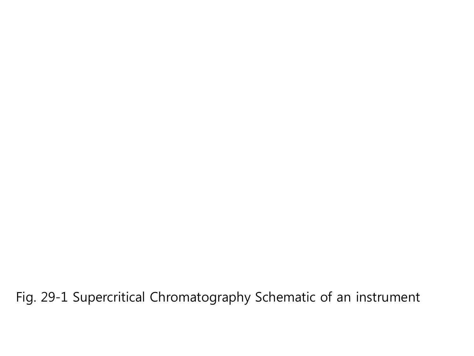Fig. 29-1 Supercritical Chromatography Schematic of an instrument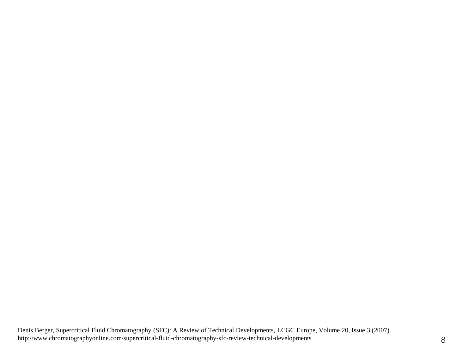Denis Berger, Supercritical Fluid Chromatography (SFC): A Review of Technical Developments, LCGC Europe, Volume 20, Issue 3 (2007). http://www.chromatographyonline.com/supercritical-fluid-chromatography-sfc-review-technical-developments 8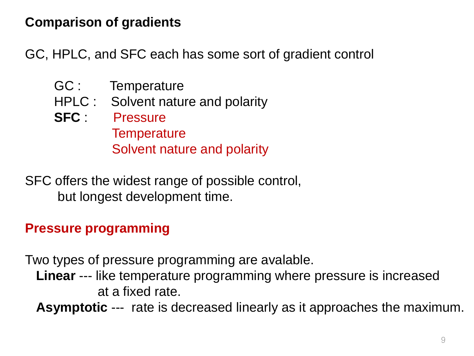### **Comparison of gradients**

GC, HPLC, and SFC each has some sort of gradient control

- GC : Temperature
- HPLC : Solvent nature and polarity
- **SFC** : Pressure **Temperature** Solvent nature and polarity

SFC offers the widest range of possible control, but longest development time.

### **Pressure programming**

Two types of pressure programming are avalable.

 **Linear** --- like temperature programming where pressure is increased at a fixed rate.

**Asymptotic** --- rate is decreased linearly as it approaches the maximum.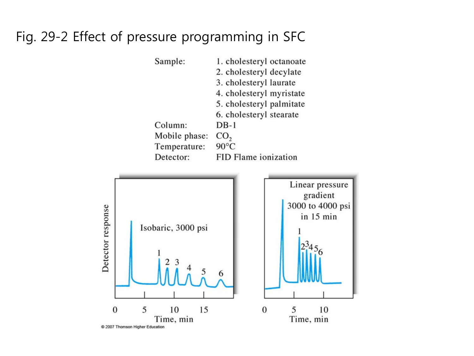### Fig. 29-2 Effect of pressure programming in SFC



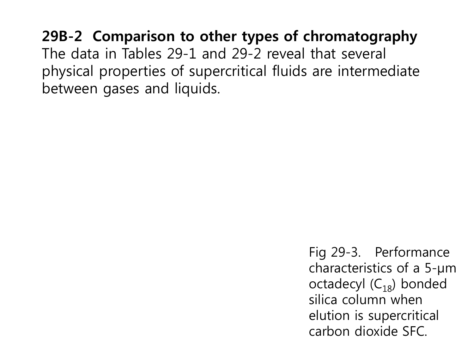# **29B-2 Comparison to other types of chromatography**  The data in Tables 29-1 and 29-2 reveal that several physical properties of supercritical fluids are intermediate between gases and liquids.

Fig 29-3. Performance characteristics of a 5-μm octadecyl  $(C_{18})$  bonded silica column when elution is supercritical carbon dioxide SFC.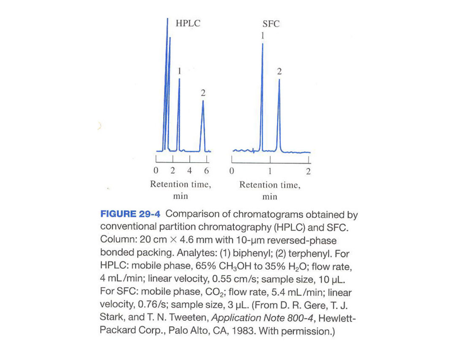

**FIGURE 29-4** Comparison of chromatograms obtained by conventional partition chromatography (HPLC) and SFC. Column: 20 cm  $\times$  4.6 mm with 10-µm reversed-phase bonded packing. Analytes: (1) biphenyl; (2) terphenyl. For HPLC: mobile phase, 65% CH<sub>3</sub>OH to 35% H<sub>2</sub>O; flow rate, 4 mL/min; linear velocity, 0.55 cm/s; sample size, 10 µL. For SFC: mobile phase, CO<sub>2</sub>; flow rate, 5.4 mL/min; linear velocity, 0.76/s; sample size, 3 µL. (From D. R. Gere, T. J. Stark, and T. N. Tweeten, Application Note 800-4, Hewlett-Packard Corp., Palo Alto, CA, 1983. With permission.)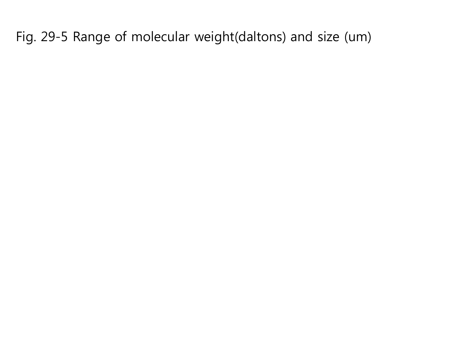Fig. 29-5 Range of molecular weight(daltons) and size (um)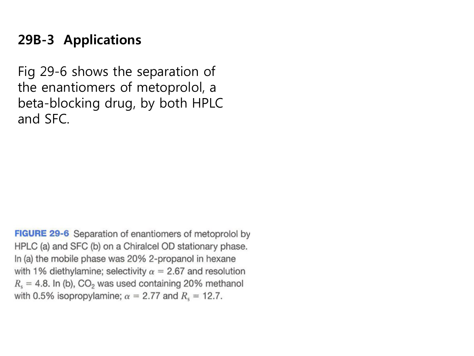## **29B-3 Applications**

Fig 29-6 shows the separation of the enantiomers of metoprolol, a beta-blocking drug, by both HPLC and SFC.

**FIGURE 29-6** Separation of enantiomers of metoprolol by HPLC (a) and SFC (b) on a Chiralcel OD stationary phase. In (a) the mobile phase was 20% 2-propanol in hexane with 1% diethylamine; selectivity  $\alpha = 2.67$  and resolution  $R_s = 4.8$ . In (b), CO<sub>2</sub> was used containing 20% methanol with 0.5% isopropylamine;  $\alpha = 2.77$  and  $R_s = 12.7$ .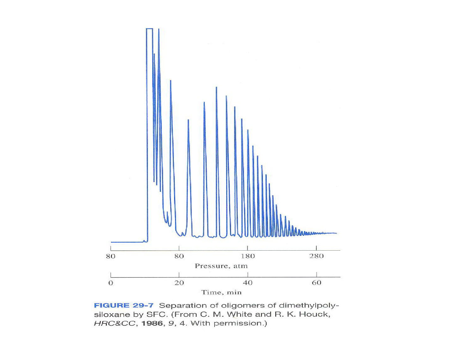

FIGURE 29-7 Separation of oligomers of dimethylpolysiloxane by SFC. (From C. M. White and R. K. Houck, HRC&CC, 1986, 9, 4. With permission.)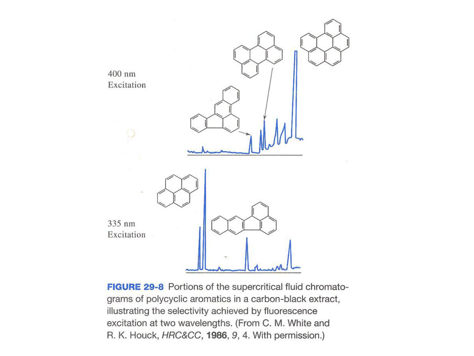

FIGURE 29-8 Portions of the supercritical fluid chromatograms of polycyclic aromatics in a carbon-black extract, illustrating the selectivity achieved by fluorescence excitation at two wavelengths. (From C. M. White and R. K. Houck, HRC&CC, 1986, 9, 4. With permission.)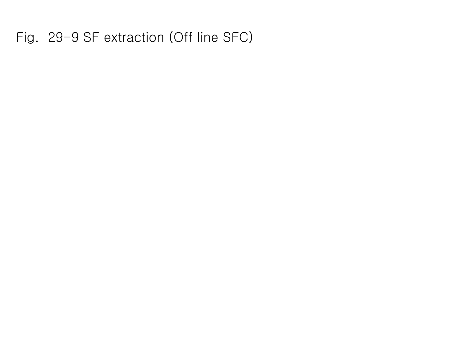Fig. 29-9 SF extraction (Off line SFC)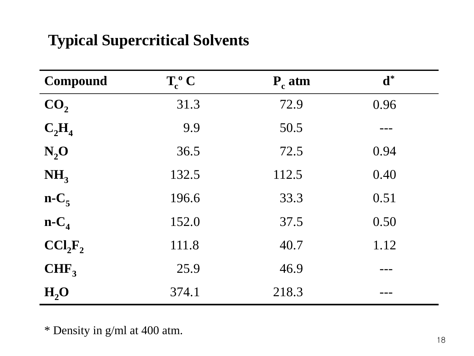# **Typical Supercritical Solvents**

| <b>Compound</b>                 | $T_c^o C$ | $P_c$ atm | $\mathbf{d}^*$ |
|---------------------------------|-----------|-----------|----------------|
| CO <sub>2</sub>                 | 31.3      | 72.9      | 0.96           |
| $C_2H_4$                        | 9.9       | 50.5      |                |
| $N_2$ O                         | 36.5      | 72.5      | 0.94           |
| NH <sub>3</sub>                 | 132.5     | 112.5     | 0.40           |
| $n-C_5$                         | 196.6     | 33.3      | 0.51           |
| $n-C_4$                         | 152.0     | 37.5      | 0.50           |
| CCI <sub>2</sub> F <sub>2</sub> | 111.8     | 40.7      | 1.12           |
| $CHF_3$                         | 25.9      | 46.9      |                |
| H <sub>2</sub> O                | 374.1     | 218.3     |                |

\* Density in g/ml at 400 atm.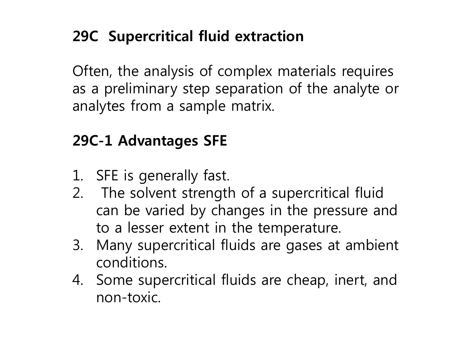# **29C Supercritical fluid extraction**

Often, the analysis of complex materials requires as a preliminary step separation of the analyte or analytes from a sample matrix.

# **29C-1 Advantages SFE**

- 1. SFE is generally fast.
- 2. The solvent strength of a supercritical fluid can be varied by changes in the pressure and to a lesser extent in the temperature.
- 3. Many supercritical fluids are gases at ambient conditions.
- 4. Some supercritical fluids are cheap, inert, and non-toxic.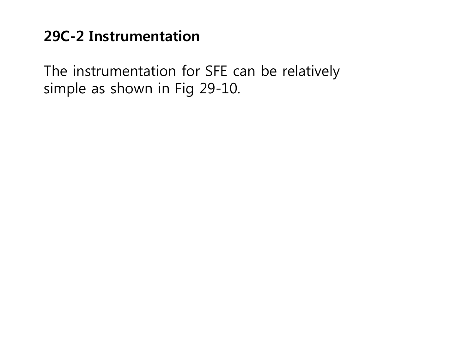## **29C-2 Instrumentation**

The instrumentation for SFE can be relatively simple as shown in Fig 29-10.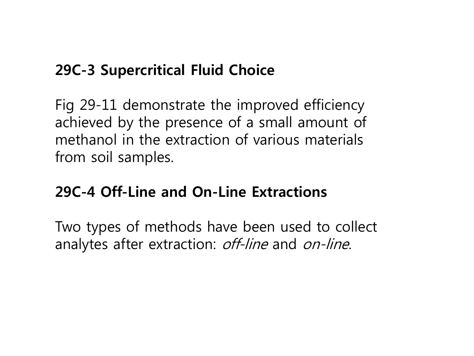# **29C-3 Supercritical Fluid Choice**

Fig 29-11 demonstrate the improved efficiency achieved by the presence of a small amount of methanol in the extraction of various materials from soil samples.

## **29C-4 Off-Line and On-Line Extractions**

Two types of methods have been used to collect analytes after extraction: off-line and on-line.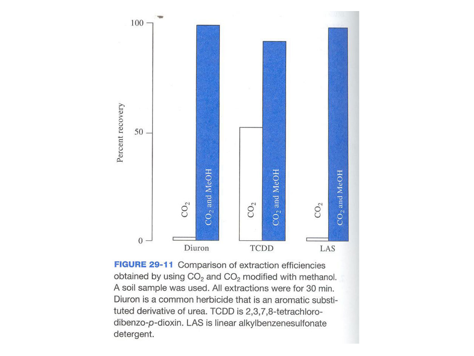

FIGURE 29-11 Comparison of extraction efficiencies obtained by using CO<sub>2</sub> and CO<sub>2</sub> modified with methanol. A soil sample was used. All extractions were for 30 min. Diuron is a common herbicide that is an aromatic substituted derivative of urea. TCDD is 2,3,7,8-tetrachlorodibenzo-p-dioxin. LAS is linear alkylbenzenesulfonate detergent.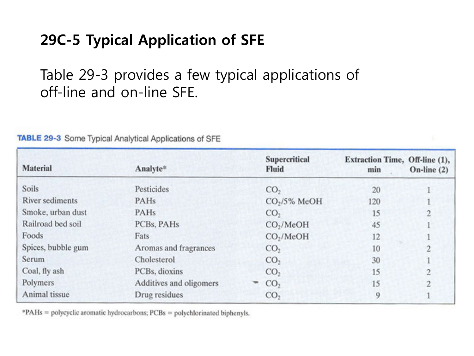# **29C-5 Typical Application of SFE**

Table 29-3 provides a few typical applications of off-line and on-line SFE.

| <b>Material</b>        | Analyte*                | Supercritical<br>Fluid | Extraction Time, Off-line (1),<br>min | On-line $(2)$  |
|------------------------|-------------------------|------------------------|---------------------------------------|----------------|
| Soils                  | Pesticides              | CO <sub>2</sub>        | 20                                    |                |
| <b>River sediments</b> | PAHs                    | $CO2/5%$ MeOH          | 120                                   |                |
| Smoke, urban dust      | PAHs                    | CO <sub>2</sub>        | 15                                    | ı              |
| Railroad bed soil      | PCBs, PAHs              | CO <sub>2</sub> /MeOH  | 45                                    |                |
| Foods                  | Fats                    | CO <sub>2</sub> /MeOH  | 12                                    |                |
| Spices, bubble gum     | Aromas and fragrances   | CO <sub>2</sub>        | 10                                    | $\overline{c}$ |
| Serum                  | Cholesterol             | CO <sub>2</sub>        | 30                                    |                |
| Coal, fly ash          | PCBs, dioxins           | CO <sub>2</sub>        | 15                                    | 2              |
| Polymers               | Additives and oligomers | CO <sub>2</sub>        | 15                                    | <sup>1</sup>   |
| Animal tissue          | Drug residues           | CO <sub>2</sub>        | 9                                     |                |

**TABLE 29-3** Some Typical Analytical Applications of SFE

\*PAHs = polycyclic aromatic hydrocarbons; PCBs = polychlorinated biphenyls.